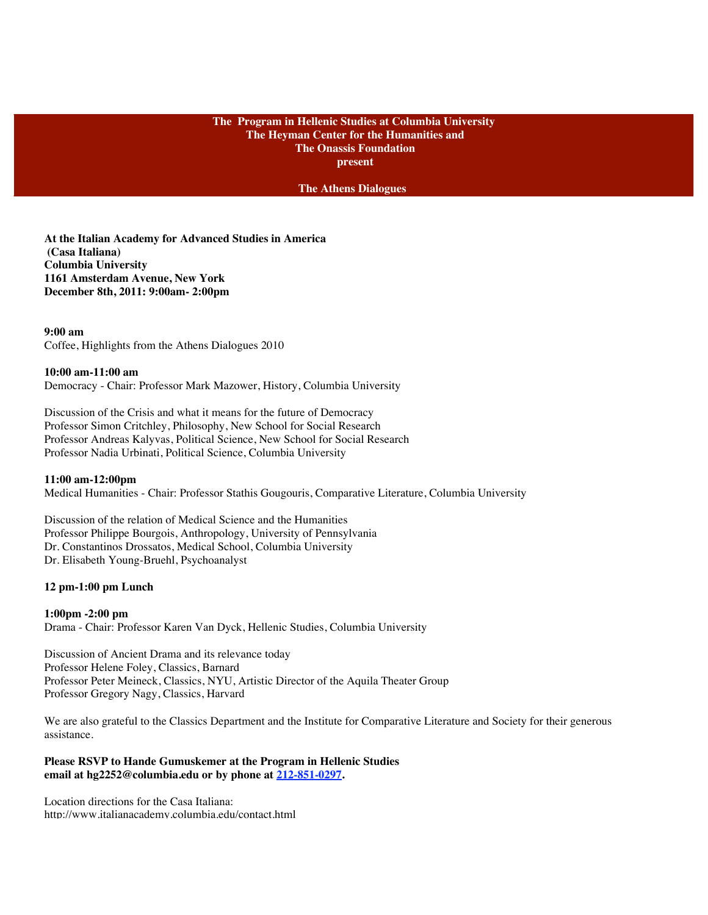# **The Program in Hellenic Studies at Columbia University The Heyman Center for the Humanities and The Onassis Foundation present**

**The Athens Dialogues**

**At the Italian Academy for Advanced Studies in America (Casa Italiana) Columbia University 1161 Amsterdam Avenue, New York December 8th, 2011: 9:00am- 2:00pm**

**9:00 am**  Coffee, Highlights from the Athens Dialogues 2010

## **10:00 am-11:00 am**

Democracy - Chair: Professor Mark Mazower, History, Columbia University

Discussion of the Crisis and what it means for the future of Democracy Professor Simon Critchley, Philosophy, New School for Social Research Professor Andreas Kalyvas, Political Science, New School for Social Research Professor Nadia Urbinati, Political Science, Columbia University

## **11:00 am-12:00pm**

Medical Humanities - Chair: Professor Stathis Gougouris, Comparative Literature, Columbia University

Discussion of the relation of Medical Science and the Humanities Professor Philippe Bourgois, Anthropology, University of Pennsylvania Dr. Constantinos Drossatos, Medical School, Columbia University Dr. Elisabeth Young-Bruehl, Psychoanalyst

#### **12 pm-1:00 pm Lunch**

#### **1:00pm -2:00 pm**

Drama - Chair: Professor Karen Van Dyck, Hellenic Studies, Columbia University

Discussion of Ancient Drama and its relevance today Professor Helene Foley, Classics, Barnard Professor Peter Meineck, Classics, NYU, Artistic Director of the Aquila Theater Group Professor Gregory Nagy, Classics, Harvard

We are also grateful to the Classics Department and the Institute for Comparative Literature and Society for their generous assistance.

## **Please RSVP to Hande Gumuskemer at the Program in Hellenic Studies email at hg2252@columbia.edu or by phone at 212-851-0297.**

Location directions for the Casa Italiana: http://www.italianacademy.columbia.edu/contact.html